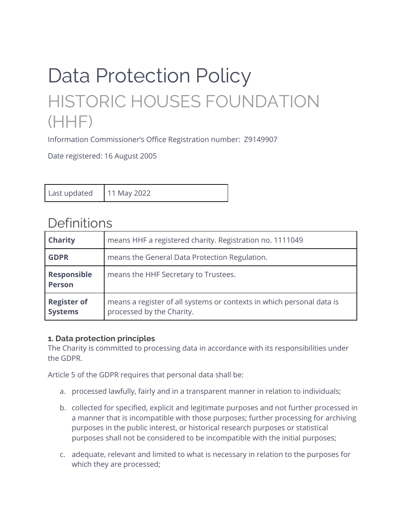# Data Protection Policy HISTORIC HOUSES FOUNDATION (HHF)

Information Commissioner's Office Registration number: Z9149907

Date registered: 16 August 2005

| 11 May 2022<br>Last updated |
|-----------------------------|
|-----------------------------|

# Definitions

| <b>Charity</b>                       | means HHF a registered charity. Registration no. 1111049                                           |  |  |
|--------------------------------------|----------------------------------------------------------------------------------------------------|--|--|
| <b>GDPR</b>                          | means the General Data Protection Regulation.                                                      |  |  |
| <b>Responsible</b><br><b>Person</b>  | means the HHF Secretary to Trustees.                                                               |  |  |
| <b>Register of</b><br><b>Systems</b> | means a register of all systems or contexts in which personal data is<br>processed by the Charity. |  |  |

#### **1. Data protection principles**

The Charity is committed to processing data in accordance with its responsibilities under the GDPR.

Article 5 of the GDPR requires that personal data shall be:

- a. processed lawfully, fairly and in a transparent manner in relation to individuals;
- b. collected for specified, explicit and legitimate purposes and not further processed in a manner that is incompatible with those purposes; further processing for archiving purposes in the public interest, or historical research purposes or statistical purposes shall not be considered to be incompatible with the initial purposes;
- c. adequate, relevant and limited to what is necessary in relation to the purposes for which they are processed;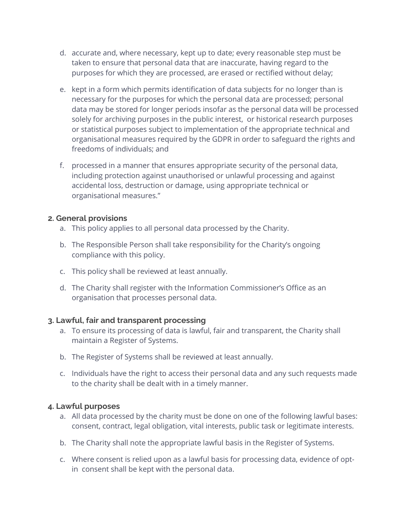- d. accurate and, where necessary, kept up to date; every reasonable step must be taken to ensure that personal data that are inaccurate, having regard to the purposes for which they are processed, are erased or rectified without delay;
- e. kept in a form which permits identification of data subjects for no longer than is necessary for the purposes for which the personal data are processed; personal data may be stored for longer periods insofar as the personal data will be processed solely for archiving purposes in the public interest, or historical research purposes or statistical purposes subject to implementation of the appropriate technical and organisational measures required by the GDPR in order to safeguard the rights and freedoms of individuals; and
- f. processed in a manner that ensures appropriate security of the personal data, including protection against unauthorised or unlawful processing and against accidental loss, destruction or damage, using appropriate technical or organisational measures."

#### **2. General provisions**

- a. This policy applies to all personal data processed by the Charity.
- b. The Responsible Person shall take responsibility for the Charity's ongoing compliance with this policy.
- c. This policy shall be reviewed at least annually.
- d. The Charity shall register with the Information Commissioner's Office as an organisation that processes personal data.

# **3. Lawful, fair and transparent processing**

- a. To ensure its processing of data is lawful, fair and transparent, the Charity shall maintain a Register of Systems.
- b. The Register of Systems shall be reviewed at least annually.
- c. Individuals have the right to access their personal data and any such requests made to the charity shall be dealt with in a timely manner.

#### **4. Lawful purposes**

- a. All data processed by the charity must be done on one of the following lawful bases: consent, contract, legal obligation, vital interests, public task or legitimate interests.
- b. The Charity shall note the appropriate lawful basis in the Register of Systems.
- c. Where consent is relied upon as a lawful basis for processing data, evidence of optin consent shall be kept with the personal data.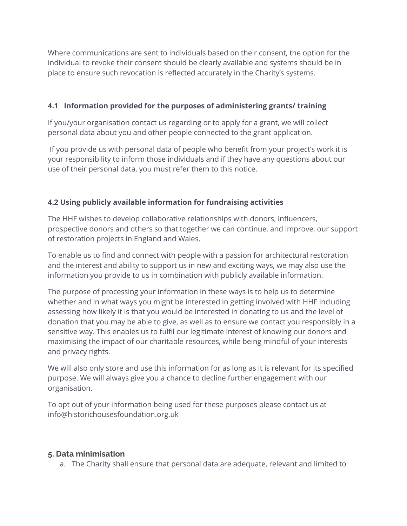Where communications are sent to individuals based on their consent, the option for the individual to revoke their consent should be clearly available and systems should be in place to ensure such revocation is reflected accurately in the Charity's systems.

# **4.1 Information provided for the purposes of administering grants/ training**

If you/your organisation contact us regarding or to apply for a grant, we will collect personal data about you and other people connected to the grant application.

If you provide us with personal data of people who benefit from your project's work it is your responsibility to inform those individuals and if they have any questions about our use of their personal data, you must refer them to this notice.

# **4.2 Using publicly available information for fundraising activities**

The HHF wishes to develop collaborative relationships with donors, influencers, prospective donors and others so that together we can continue, and improve, our support of restoration projects in England and Wales.

To enable us to find and connect with people with a passion for architectural restoration and the interest and ability to support us in new and exciting ways, we may also use the information you provide to us in combination with publicly available information.

The purpose of processing your information in these ways is to help us to determine whether and in what ways you might be interested in getting involved with HHF including assessing how likely it is that you would be interested in donating to us and the level of donation that you may be able to give, as well as to ensure we contact you responsibly in a sensitive way. This enables us to fulfil our legitimate interest of knowing our donors and maximising the impact of our charitable resources, while being mindful of your interests and privacy rights.

We will also only store and use this information for as long as it is relevant for its specified purpose. We will always give you a chance to decline further engagement with our organisation.

To opt out of your information being used for these purposes please contact us at info@historichousesfoundation.org.uk

# **5. Data minimisation**

a. The Charity shall ensure that personal data are adequate, relevant and limited to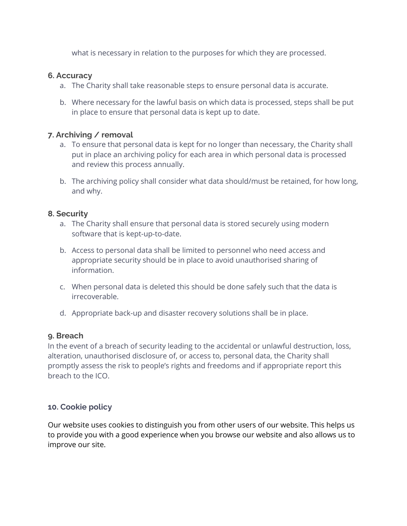what is necessary in relation to the purposes for which they are processed.

#### **6. Accuracy**

- a. The Charity shall take reasonable steps to ensure personal data is accurate.
- b. Where necessary for the lawful basis on which data is processed, steps shall be put in place to ensure that personal data is kept up to date.

#### **7. Archiving / removal**

- a. To ensure that personal data is kept for no longer than necessary, the Charity shall put in place an archiving policy for each area in which personal data is processed and review this process annually.
- b. The archiving policy shall consider what data should/must be retained, for how long, and why.

#### **8. Security**

- a. The Charity shall ensure that personal data is stored securely using modern software that is kept-up-to-date.
- b. Access to personal data shall be limited to personnel who need access and appropriate security should be in place to avoid unauthorised sharing of information.
- c. When personal data is deleted this should be done safely such that the data is irrecoverable.
- d. Appropriate back-up and disaster recovery solutions shall be in place.

#### **9. Breach**

In the event of a breach of security leading to the accidental or unlawful destruction, loss, alteration, unauthorised disclosure of, or access to, personal data, the Charity shall promptly assess the risk to people's rights and freedoms and if appropriate report this breach to the ICO.

# **10. Cookie policy**

Our website uses cookies to distinguish you from other users of our website. This helps us to provide you with a good experience when you browse our website and also allows us to improve our site.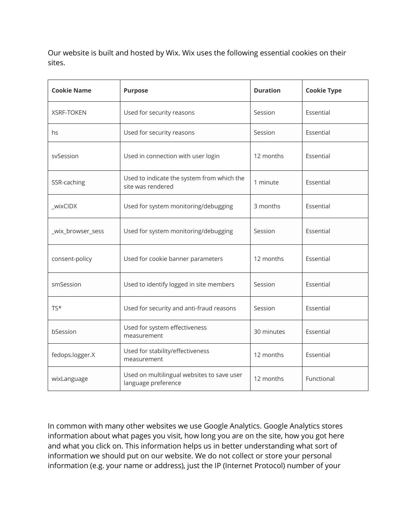Our website is built and hosted by Wix. Wix uses the following essential cookies on their sites.

| <b>Cookie Name</b> | <b>Purpose</b>                                                    | <b>Duration</b> | <b>Cookie Type</b> |
|--------------------|-------------------------------------------------------------------|-----------------|--------------------|
| <b>XSRF-TOKEN</b>  | Used for security reasons                                         | Session         | Essential          |
| hs                 | Used for security reasons                                         | Session         | Essential          |
| svSession          | Used in connection with user login                                | 12 months       | Essential          |
| SSR-caching        | Used to indicate the system from which the<br>site was rendered   | 1 minute        | Essential          |
| _wixCIDX           | Used for system monitoring/debugging                              | 3 months        | Essential          |
| _wix_browser_sess  | Used for system monitoring/debugging                              | Session         | Essential          |
| consent-policy     | Used for cookie banner parameters                                 | 12 months       | Essential          |
| smSession          | Used to identify logged in site members                           | Session         | Essential          |
| $TS*$              | Used for security and anti-fraud reasons                          | Session         | Essential          |
| bSession           | Used for system effectiveness<br>measurement                      | 30 minutes      | Essential          |
| fedops.logger.X    | Used for stability/effectiveness<br>measurement                   | 12 months       | Essential          |
| wixLanguage        | Used on multilingual websites to save user<br>language preference | 12 months       | Functional         |

In common with many other websites we use Google Analytics. Google Analytics stores information about what pages you visit, how long you are on the site, how you got here and what you click on. This information helps us in better understanding what sort of information we should put on our website. We do not collect or store your personal information (e.g. your name or address), just the IP (Internet Protocol) number of your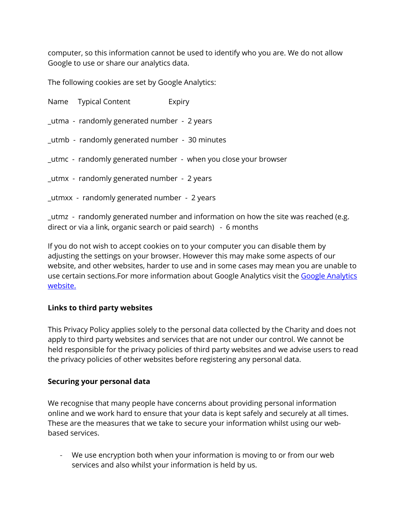computer, so this information cannot be used to identify who you are. We do not allow Google to use or share our analytics data.

The following cookies are set by Google Analytics:

Name Typical Content Expiry \_utma - randomly generated number - 2 years \_utmb - randomly generated number - 30 minutes \_utmc - randomly generated number - when you close your browser \_utmx - randomly generated number - 2 years \_utmxx - randomly generated number - 2 years

\_utmz - randomly generated number and information on how the site was reached (e.g. direct or via a link, organic search or paid search) - 6 months

If you do not wish to accept cookies on to your computer you can disable them by adjusting the settings on your browser. However this may make some aspects of our website, and other websites, harder to use and in some cases may mean you are unable to use certain sections. For more information about Google Analytics visit the Google Analytics website.

# **Links to third party websites**

This Privacy Policy applies solely to the personal data collected by the Charity and does not apply to third party websites and services that are not under our control. We cannot be held responsible for the privacy policies of third party websites and we advise users to read the privacy policies of other websites before registering any personal data.

#### **Securing your personal data**

We recognise that many people have concerns about providing personal information online and we work hard to ensure that your data is kept safely and securely at all times. These are the measures that we take to secure your information whilst using our webbased services.

- We use encryption both when your information is moving to or from our web services and also whilst your information is held by us.